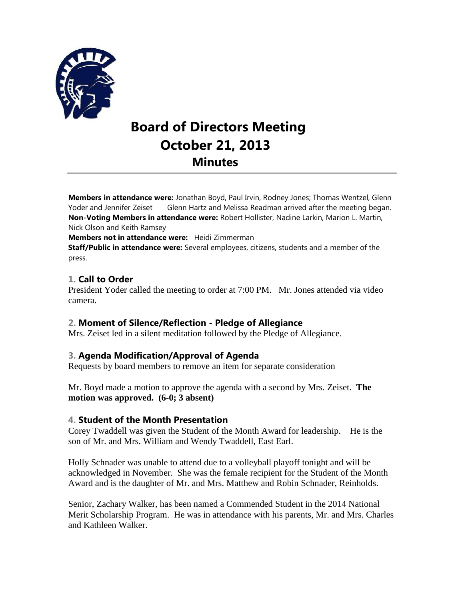

# **Board of Directors Meeting October 21, 2013 Minutes**

**Members in attendance were:** Jonathan Boyd, Paul Irvin, Rodney Jones; Thomas Wentzel, Glenn Yoder and Jennifer Zeiset Glenn Hartz and Melissa Readman arrived after the meeting began. **Non-Voting Members in attendance were:** Robert Hollister, Nadine Larkin, Marion L. Martin, Nick Olson and Keith Ramsey

**Members not in attendance were:** Heidi Zimmerman

**Staff/Public in attendance were:** Several employees, citizens, students and a member of the press.

## **1. Call to Order**

President Yoder called the meeting to order at 7:00 PM. Mr. Jones attended via video camera.

#### **2. Moment of Silence/Reflection - Pledge of Allegiance**

Mrs. Zeiset led in a silent meditation followed by the Pledge of Allegiance.

#### **3. Agenda Modification/Approval of Agenda**

Requests by board members to remove an item for separate consideration

Mr. Boyd made a motion to approve the agenda with a second by Mrs. Zeiset. **The motion was approved. (6-0; 3 absent)**

#### **4. Student of the Month Presentation**

Corey Twaddell was given the Student of the Month Award for leadership. He is the son of Mr. and Mrs. William and Wendy Twaddell, East Earl.

Holly Schnader was unable to attend due to a volleyball playoff tonight and will be acknowledged in November. She was the female recipient for the Student of the Month Award and is the daughter of Mr. and Mrs. Matthew and Robin Schnader, Reinholds.

Senior, Zachary Walker, has been named a Commended Student in the 2014 National Merit Scholarship Program. He was in attendance with his parents, Mr. and Mrs. Charles and Kathleen Walker.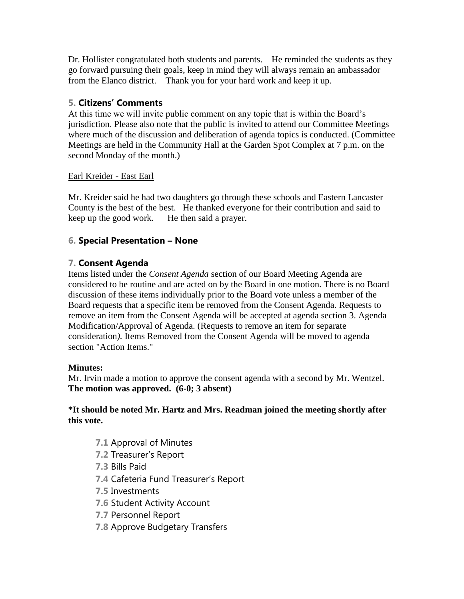Dr. Hollister congratulated both students and parents. He reminded the students as they go forward pursuing their goals, keep in mind they will always remain an ambassador from the Elanco district. Thank you for your hard work and keep it up.

# **5. Citizens' Comments**

At this time we will invite public comment on any topic that is within the Board's jurisdiction. Please also note that the public is invited to attend our Committee Meetings where much of the discussion and deliberation of agenda topics is conducted. (Committee Meetings are held in the Community Hall at the Garden Spot Complex at 7 p.m. on the second Monday of the month.)

## Earl Kreider - East Earl

Mr. Kreider said he had two daughters go through these schools and Eastern Lancaster County is the best of the best. He thanked everyone for their contribution and said to keep up the good work. He then said a prayer.

# **6. Special Presentation – None**

# **7. Consent Agenda**

Items listed under the *Consent Agenda* section of our Board Meeting Agenda are considered to be routine and are acted on by the Board in one motion. There is no Board discussion of these items individually prior to the Board vote unless a member of the Board requests that a specific item be removed from the Consent Agenda. Requests to remove an item from the Consent Agenda will be accepted at agenda section 3. Agenda Modification/Approval of Agenda. (Requests to remove an item for separate consideration*).* Items Removed from the Consent Agenda will be moved to agenda section "Action Items."

## **Minutes:**

Mr. Irvin made a motion to approve the consent agenda with a second by Mr. Wentzel. **The motion was approved. (6-0; 3 absent)**

## **\*It should be noted Mr. Hartz and Mrs. Readman joined the meeting shortly after this vote.**

- **7.1** Approval of Minutes
- **7.2** Treasurer's Report
- **7.3** Bills Paid
- **7.4** Cafeteria Fund Treasurer's Report
- **7.5** Investments
- **7.6** Student Activity Account
- **7.7** Personnel Report
- **7.8** Approve Budgetary Transfers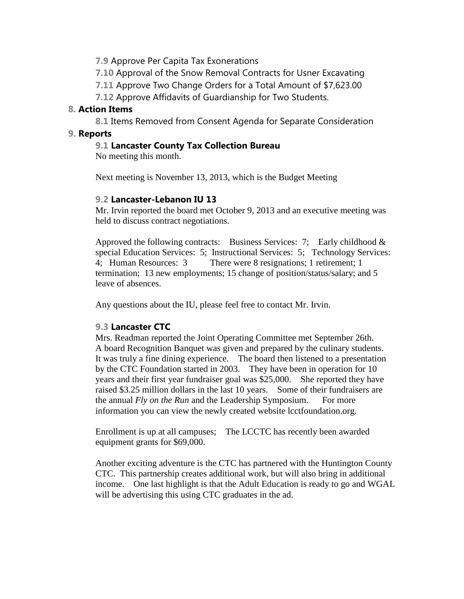**7.9** Approve Per Capita Tax Exonerations

**7.10** Approval of the Snow Removal Contracts for Usner Excavating

**7.11** Approve Two Change Orders for a Total Amount of \$7,623.00

**7.12** Approve Affidavits of Guardianship for Two Students.

#### **8. Action Items**

**8.1** Items Removed from Consent Agenda for Separate Consideration

#### **9. Reports**

## **9.1 Lancaster County Tax Collection Bureau**

No meeting this month.

Next meeting is November 13, 2013, which is the Budget Meeting

## **9.2 Lancaster-Lebanon IU 13**

Mr. Irvin reported the board met October 9, 2013 and an executive meeting was held to discuss contract negotiations.

Approved the following contracts: Business Services: 7; Early childhood  $\&$ special Education Services: 5; Instructional Services: 5; Technology Services: 4; Human Resources: 3 There were 8 resignations; 1 retirement; 1 termination; 13 new employments; 15 change of position/status/salary; and 5 leave of absences.

Any questions about the IU, please feel free to contact Mr. Irvin.

## **9.3 Lancaster CTC**

Mrs. Readman reported the Joint Operating Committee met September 26th. A board Recognition Banquet was given and prepared by the culinary students. It was truly a fine dining experience. The board then listened to a presentation by the CTC Foundation started in 2003. They have been in operation for 10 years and their first year fundraiser goal was \$25,000. She reported they have raised \$3.25 million dollars in the last 10 years. Some of their fundraisers are the annual *Fly on the Run* and the Leadership Symposium. For more information you can view the newly created website lcctfoundation.org.

Enrollment is up at all campuses; The LCCTC has recently been awarded equipment grants for \$69,000.

Another exciting adventure is the CTC has partnered with the Huntington County CTC. This partnership creates additional work, but will also bring in additional income. One last highlight is that the Adult Education is ready to go and WGAL will be advertising this using CTC graduates in the ad.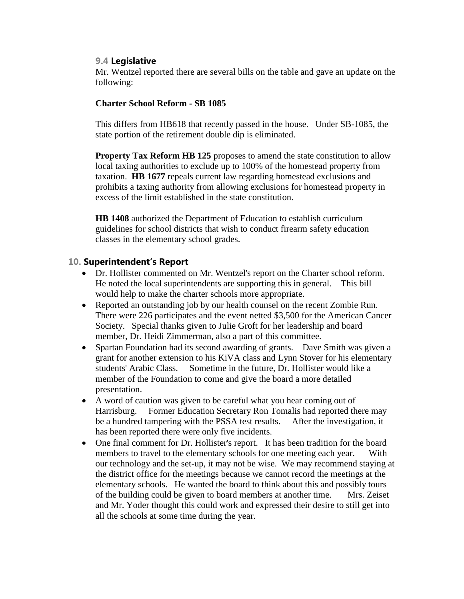#### **9.4 Legislative**

Mr. Wentzel reported there are several bills on the table and gave an update on the following:

#### **Charter School Reform - SB 1085**

This differs from HB618 that recently passed in the house. Under SB-1085, the state portion of the retirement double dip is eliminated.

**Property Tax Reform HB 125** proposes to amend the state constitution to allow local taxing authorities to exclude up to 100% of the homestead property from taxation. **HB 1677** repeals current law regarding homestead exclusions and prohibits a taxing authority from allowing exclusions for homestead property in excess of the limit established in the state constitution.

**HB 1408** authorized the Department of Education to establish curriculum guidelines for school districts that wish to conduct firearm safety education classes in the elementary school grades.

#### **10. Superintendent's Report**

- Dr. Hollister commented on Mr. Wentzel's report on the Charter school reform. He noted the local superintendents are supporting this in general. This bill would help to make the charter schools more appropriate.
- Reported an outstanding job by our health counsel on the recent Zombie Run. There were 226 participates and the event netted \$3,500 for the American Cancer Society. Special thanks given to Julie Groft for her leadership and board member, Dr. Heidi Zimmerman, also a part of this committee.
- Spartan Foundation had its second awarding of grants. Dave Smith was given a grant for another extension to his KiVA class and Lynn Stover for his elementary students' Arabic Class. Sometime in the future, Dr. Hollister would like a member of the Foundation to come and give the board a more detailed presentation.
- A word of caution was given to be careful what you hear coming out of Harrisburg. Former Education Secretary Ron Tomalis had reported there may be a hundred tampering with the PSSA test results. After the investigation, it has been reported there were only five incidents.
- One final comment for Dr. Hollister's report. It has been tradition for the board members to travel to the elementary schools for one meeting each year. With our technology and the set-up, it may not be wise. We may recommend staying at the district office for the meetings because we cannot record the meetings at the elementary schools. He wanted the board to think about this and possibly tours of the building could be given to board members at another time. Mrs. Zeiset and Mr. Yoder thought this could work and expressed their desire to still get into all the schools at some time during the year.